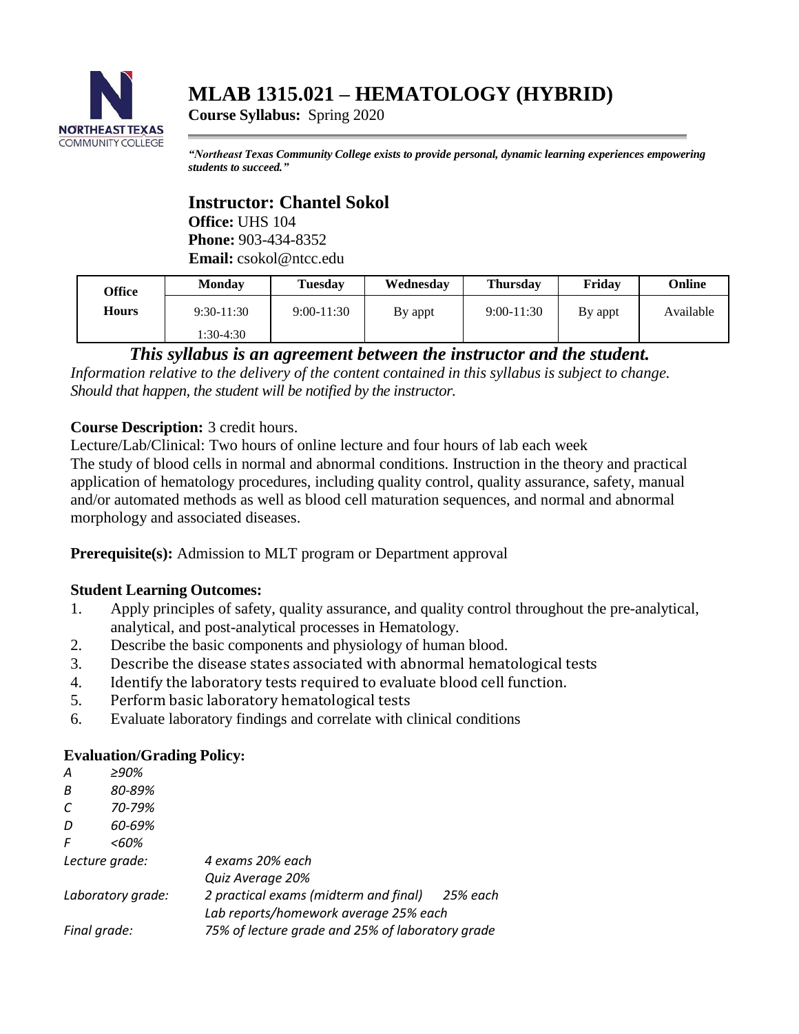

# **MLAB 1315.021 – HEMATOLOGY (HYBRID)**

**Course Syllabus:** Spring 2020

*"Northeast Texas Community College exists to provide personal, dynamic learning experiences empowering students to succeed."*

## **Instructor: Chantel Sokol**

**Office:** UHS 104 **Phone:** 903-434-8352 **Email:** csokol@ntcc.edu

| Office       | Monday       | Tuesdav        | Wednesday | <b>Thursday</b> | Friday  | Online    |
|--------------|--------------|----------------|-----------|-----------------|---------|-----------|
| <b>Hours</b> | $9:30-11:30$ | $9:00 - 11:30$ | By appt   | $9:00-11:30$    | By appt | Available |
|              | 1:30-4:30    |                |           |                 |         |           |

## *This syllabus is an agreement between the instructor and the student.*

*Information relative to the delivery of the content contained in this syllabus is subject to change. Should that happen, the student will be notified by the instructor.*

## **Course Description:** 3 credit hours.

Lecture/Lab/Clinical: Two hours of online lecture and four hours of lab each week

The study of blood cells in normal and abnormal conditions. Instruction in the theory and practical application of hematology procedures, including quality control, quality assurance, safety, manual and/or automated methods as well as blood cell maturation sequences, and normal and abnormal morphology and associated diseases.

**Prerequisite(s):** Admission to MLT program or Department approval

## **Student Learning Outcomes:**

- 1. Apply principles of safety, quality assurance, and quality control throughout the pre-analytical, analytical, and post-analytical processes in Hematology.
- 2. Describe the basic components and physiology of human blood.
- 3. Describe the disease states associated with abnormal hematological tests
- 4. Identify the laboratory tests required to evaluate blood cell function.
- 5. Perform basic laboratory hematological tests
- 6. Evaluate laboratory findings and correlate with clinical conditions

## **Evaluation/Grading Policy:**

| A                 | >90%   |                                                  |  |  |
|-------------------|--------|--------------------------------------------------|--|--|
| B                 | 80-89% |                                                  |  |  |
| C                 | 70-79% |                                                  |  |  |
| D                 | 60-69% |                                                  |  |  |
| F                 | <60%   |                                                  |  |  |
| Lecture grade:    |        | 4 exams 20% each                                 |  |  |
|                   |        | Quiz Average 20%                                 |  |  |
| Laboratory grade: |        | 2 practical exams (midterm and final) 25% each   |  |  |
|                   |        | Lab reports/homework average 25% each            |  |  |
| Final grade:      |        | 75% of lecture grade and 25% of laboratory grade |  |  |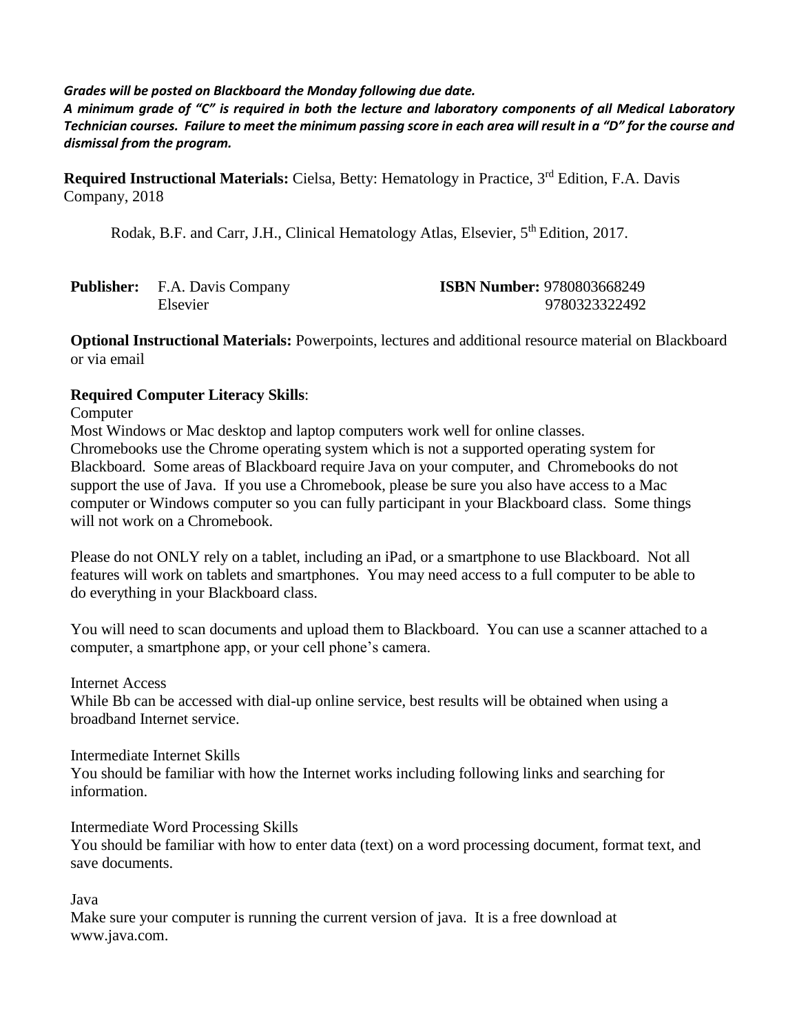#### *Grades will be posted on Blackboard the Monday following due date.*

*A minimum grade of "C" is required in both the lecture and laboratory components of all Medical Laboratory Technician courses. Failure to meet the minimum passing score in each area will result in a "D" for the course and dismissal from the program.*

Required Instructional Materials: Cielsa, Betty: Hematology in Practice, 3<sup>rd</sup> Edition, F.A. Davis Company, 2018

Rodak, B.F. and Carr, J.H., Clinical Hematology Atlas, Elsevier, 5<sup>th</sup> Edition, 2017.

| <b>Publisher:</b> F.A. Davis Company |                 | <b>ISBN Number: 9780803668249</b> |  |  |
|--------------------------------------|-----------------|-----------------------------------|--|--|
|                                      | <b>Elsevier</b> | 9780323322492                     |  |  |

**Optional Instructional Materials:** Powerpoints, lectures and additional resource material on Blackboard or via email

#### **Required Computer Literacy Skills**:

Computer

Most Windows or Mac desktop and laptop computers work well for online classes. Chromebooks use the Chrome operating system which is not a supported operating system for Blackboard. Some areas of Blackboard require Java on your computer, and Chromebooks do not support the use of Java. If you use a Chromebook, please be sure you also have access to a Mac computer or Windows computer so you can fully participant in your Blackboard class. Some things will not work on a Chromebook.

Please do not ONLY rely on a tablet, including an iPad, or a smartphone to use Blackboard. Not all features will work on tablets and smartphones. You may need access to a full computer to be able to do everything in your Blackboard class.

You will need to scan documents and upload them to Blackboard. You can use a scanner attached to a computer, a smartphone app, or your cell phone's camera.

Internet Access

While Bb can be accessed with dial-up online service, best results will be obtained when using a broadband Internet service.

Intermediate Internet Skills

You should be familiar with how the Internet works including following links and searching for information.

Intermediate Word Processing Skills

You should be familiar with how to enter data (text) on a word processing document, format text, and save documents.

Java

Make sure your computer is running the current version of java. It is a free download at www.java.com.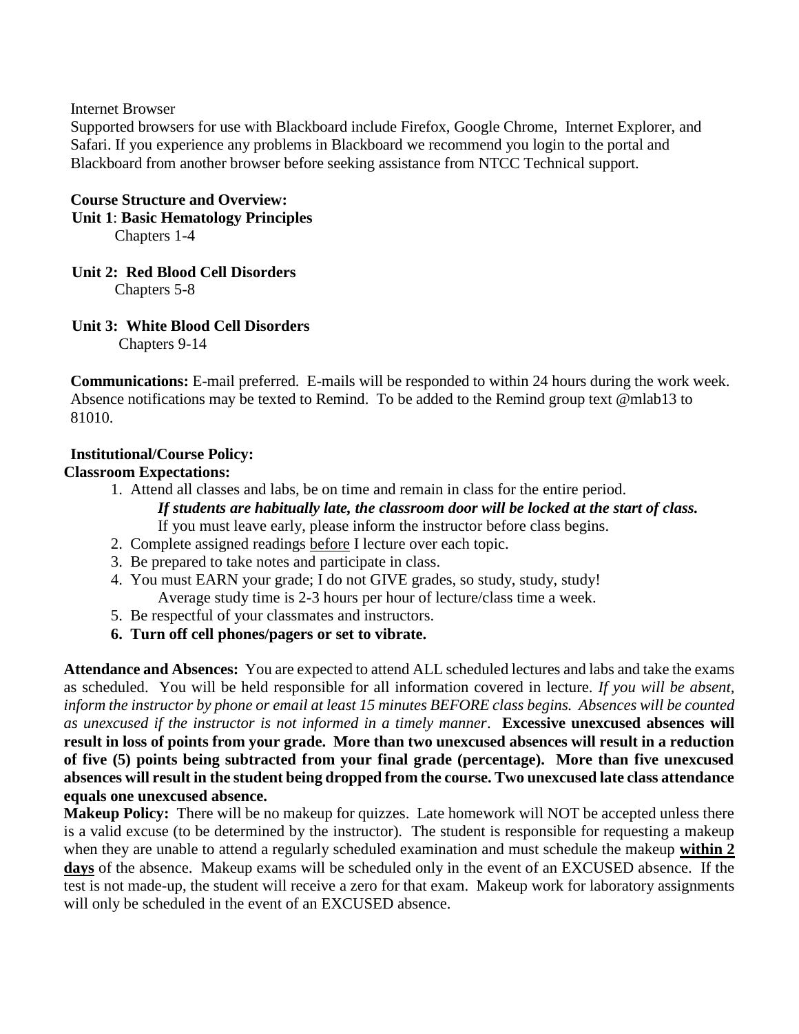Internet Browser

Supported browsers for use with Blackboard include Firefox, Google Chrome, Internet Explorer, and Safari. If you experience any problems in Blackboard we recommend you login to the portal and Blackboard from another browser before seeking assistance from NTCC Technical support.

#### **Course Structure and Overview:**

 **Unit 1**: **Basic Hematology Principles**

Chapters 1-4

#### **Unit 2: Red Blood Cell Disorders**

Chapters 5-8

#### **Unit 3: White Blood Cell Disorders**

Chapters 9-14

**Communications:** E-mail preferred. E-mails will be responded to within 24 hours during the work week. Absence notifications may be texted to Remind. To be added to the Remind group text @mlab13 to 81010.

#### **Institutional/Course Policy:**

#### **Classroom Expectations:**

- 1. Attend all classes and labs, be on time and remain in class for the entire period.
	- *If students are habitually late, the classroom door will be locked at the start of class.* If you must leave early, please inform the instructor before class begins.
- 2. Complete assigned readings before I lecture over each topic.
- 3. Be prepared to take notes and participate in class.
- 4. You must EARN your grade; I do not GIVE grades, so study, study, study! Average study time is 2-3 hours per hour of lecture/class time a week.
- 5. Be respectful of your classmates and instructors.
- **6. Turn off cell phones/pagers or set to vibrate.**

**Attendance and Absences:** You are expected to attend ALL scheduled lectures and labs and take the exams as scheduled. You will be held responsible for all information covered in lecture. *If you will be absent, inform the instructor by phone or email at least 15 minutes BEFORE class begins. Absences will be counted as unexcused if the instructor is not informed in a timely manner*. **Excessive unexcused absences will result in loss of points from your grade. More than two unexcused absences will result in a reduction of five (5) points being subtracted from your final grade (percentage). More than five unexcused absences will result in the student being dropped from the course. Two unexcused late class attendance equals one unexcused absence.**

**Makeup Policy:** There will be no makeup for quizzes. Late homework will NOT be accepted unless there is a valid excuse (to be determined by the instructor). The student is responsible for requesting a makeup when they are unable to attend a regularly scheduled examination and must schedule the makeup **within 2 days** of the absence. Makeup exams will be scheduled only in the event of an EXCUSED absence. If the test is not made-up, the student will receive a zero for that exam. Makeup work for laboratory assignments will only be scheduled in the event of an EXCUSED absence.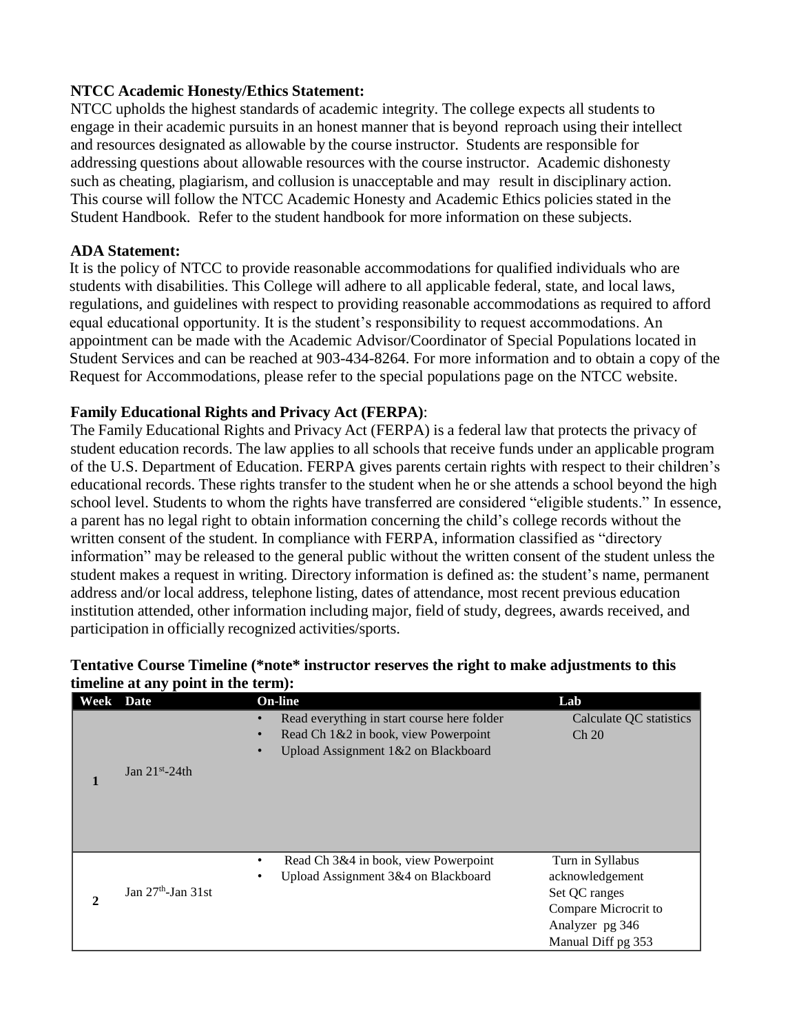#### **NTCC Academic Honesty/Ethics Statement:**

NTCC upholds the highest standards of academic integrity. The college expects all students to engage in their academic pursuits in an honest manner that is beyond reproach using their intellect and resources designated as allowable by the course instructor. Students are responsible for addressing questions about allowable resources with the course instructor. Academic dishonesty such as cheating, plagiarism, and collusion is unacceptable and may result in disciplinary action. This course will follow the NTCC Academic Honesty and Academic Ethics policies stated in the Student Handbook. Refer to the student handbook for more information on these subjects.

#### **ADA Statement:**

It is the policy of NTCC to provide reasonable accommodations for qualified individuals who are students with disabilities. This College will adhere to all applicable federal, state, and local laws, regulations, and guidelines with respect to providing reasonable accommodations as required to afford equal educational opportunity. It is the student's responsibility to request accommodations. An appointment can be made with the Academic Advisor/Coordinator of Special Populations located in Student Services and can be reached at 903-434-8264. For more information and to obtain a copy of the Request for Accommodations, please refer to the special populations page on the NTCC websit[e.](http://www.ntcc.edu/index.php?module=Pagesetter&func=viewpub&tid=111&pid=1) 

#### **Family Educational Rights and Privacy Act (FERPA)**:

The Family Educational Rights and Privacy Act (FERPA) is a federal law that protects the privacy of student education records. The law applies to all schools that receive funds under an applicable program of the U.S. Department of Education. FERPA gives parents certain rights with respect to their children's educational records. These rights transfer to the student when he or she attends a school beyond the high school level. Students to whom the rights have transferred are considered "eligible students." In essence, a parent has no legal right to obtain information concerning the child's college records without the written consent of the student. In compliance with FERPA, information classified as "directory information" may be released to the general public without the written consent of the student unless the student makes a request in writing. Directory information is defined as: the student's name, permanent address and/or local address, telephone listing, dates of attendance, most recent previous education institution attended, other information including major, field of study, degrees, awards received, and participation in officially recognized activities/sports.

## **Tentative Course Timeline (\*note\* instructor reserves the right to make adjustments to this timeline at any point in the term):**

|                  | unicime at any point in the term). |                                                                                                                                                      |                                                                                                                       |
|------------------|------------------------------------|------------------------------------------------------------------------------------------------------------------------------------------------------|-----------------------------------------------------------------------------------------------------------------------|
| <b>Week</b> Date |                                    | <b>On-line</b>                                                                                                                                       | Lab                                                                                                                   |
| 1                | Jan $21st - 24th$                  | Read everything in start course here folder<br>$\bullet$<br>Read Ch 1&2 in book, view Powerpoint<br>Upload Assignment 1&2 on Blackboard<br>$\bullet$ | Calculate QC statistics<br>Ch 20                                                                                      |
| $\mathbf{2}$     | Jan $27th$ -Jan 31st               | Read Ch 3&4 in book, view Powerpoint<br>٠<br>Upload Assignment 3&4 on Blackboard<br>٠                                                                | Turn in Syllabus<br>acknowledgement<br>Set QC ranges<br>Compare Microcrit to<br>Analyzer pg 346<br>Manual Diff pg 353 |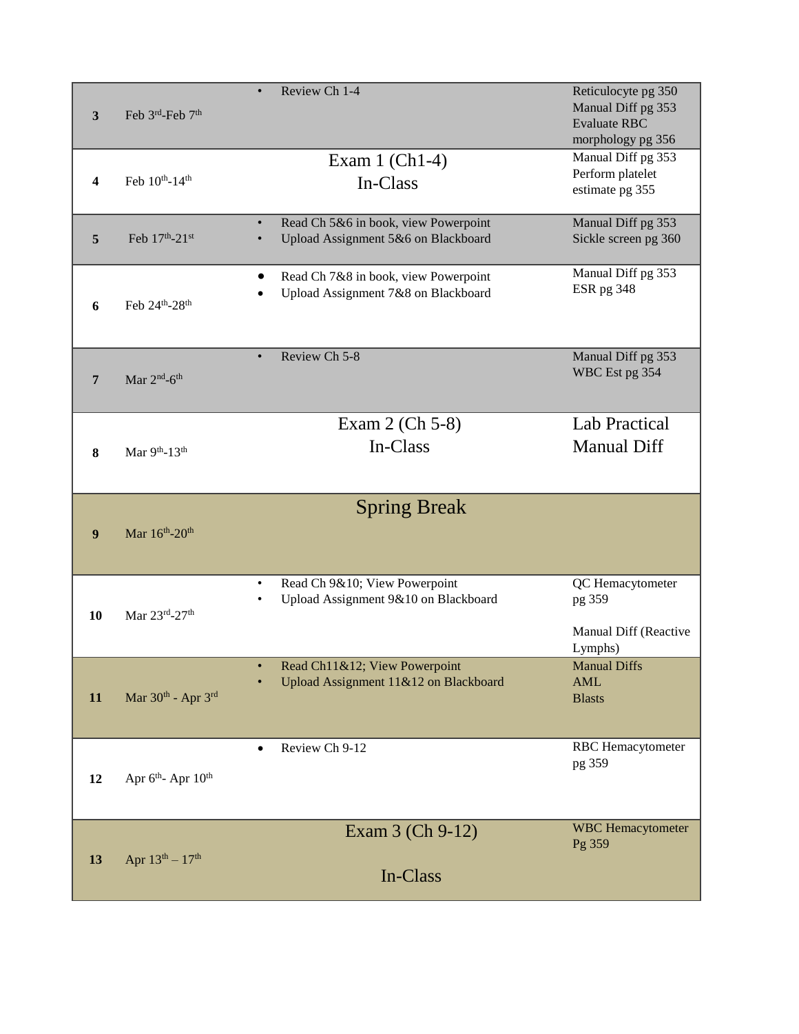| 3  | Feb 3rd-Feb 7 <sup>th</sup>               | Review Ch 1-4<br>$\bullet$                                                               | Reticulocyte pg 350<br>Manual Diff pg 353<br><b>Evaluate RBC</b><br>morphology pg 356 |
|----|-------------------------------------------|------------------------------------------------------------------------------------------|---------------------------------------------------------------------------------------|
| 4  | Feb $10^{th}$ -14 <sup>th</sup>           | Exam $1$ (Ch <sub>1</sub> -4)<br>In-Class                                                | Manual Diff pg 353<br>Perform platelet<br>estimate pg 355                             |
| 5  | Feb 17th-21st                             | Read Ch 5&6 in book, view Powerpoint<br>$\bullet$<br>Upload Assignment 5&6 on Blackboard | Manual Diff pg 353<br>Sickle screen pg 360                                            |
| 6  | Feb 24th-28th                             | Read Ch 7&8 in book, view Powerpoint<br>٠<br>Upload Assignment 7&8 on Blackboard         | Manual Diff pg 353<br>ESR pg 348                                                      |
| 7  | Mar $2nd$ -6 <sup>th</sup>                | Review Ch 5-8<br>$\bullet$                                                               | Manual Diff pg 353<br>WBC Est pg 354                                                  |
| 8  | Mar 9th-13th                              | Exam 2 (Ch 5-8)<br>In-Class                                                              | <b>Lab Practical</b><br><b>Manual Diff</b>                                            |
| 9  | Mar 16th-20th                             | <b>Spring Break</b>                                                                      |                                                                                       |
|    |                                           |                                                                                          |                                                                                       |
| 10 | Mar 23rd-27th                             | Read Ch 9&10; View Powerpoint<br>$\bullet$<br>Upload Assignment 9&10 on Blackboard       | QC Hemacytometer<br>pg 359<br>Manual Diff (Reactive<br>Lymphs)                        |
| 11 | Mar 30th - Apr 3rd                        | Read Ch11&12; View Powerpoint<br>Upload Assignment 11&12 on Blackboard                   | <b>Manual Diffs</b><br>AML<br><b>Blasts</b>                                           |
| 12 | Apr 6 <sup>th</sup> -Apr 10 <sup>th</sup> | Review Ch 9-12<br>$\bullet$                                                              | <b>RBC</b> Hemacytometer<br>pg 359                                                    |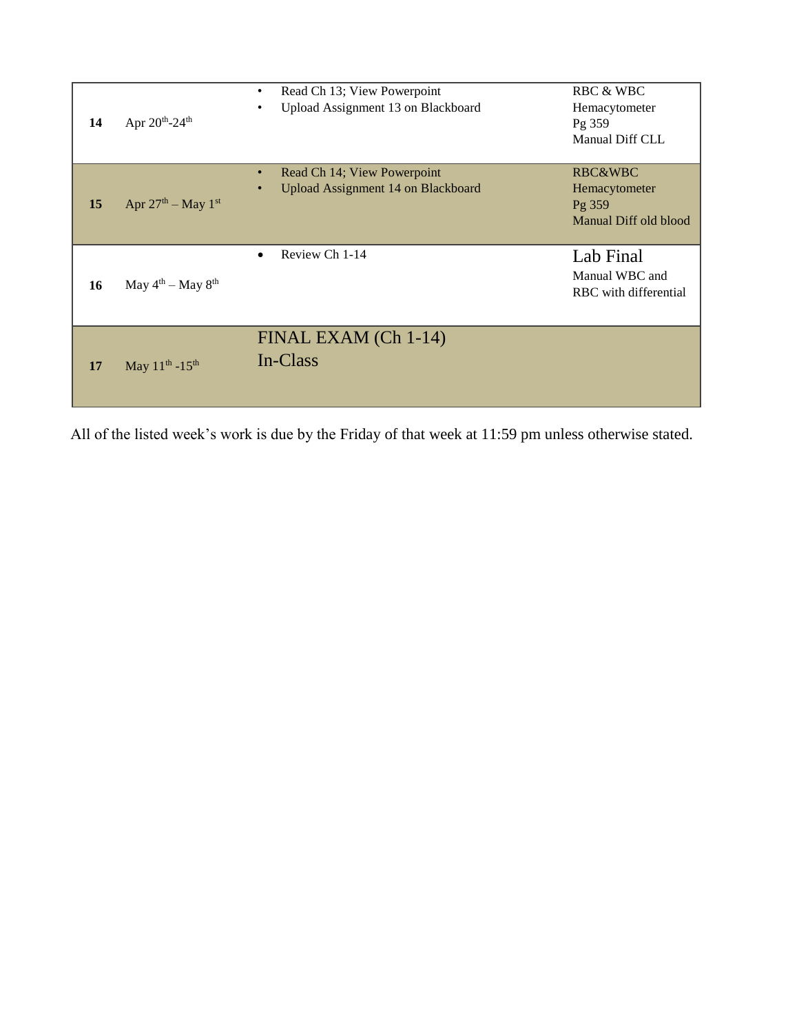| 14 | Apr 20th-24th                   | Read Ch 13; View Powerpoint<br>$\bullet$<br>Upload Assignment 13 on Blackboard        | <b>RBC &amp; WBC</b><br>Hemacytometer<br>Pg 359<br>Manual Diff CLL     |
|----|---------------------------------|---------------------------------------------------------------------------------------|------------------------------------------------------------------------|
| 15 | Apr $27th$ – May $1st$          | Read Ch 14; View Powerpoint<br>$\bullet$<br><b>Upload Assignment 14 on Blackboard</b> | <b>RBC&amp;WBC</b><br>Hemacytometer<br>Pg 359<br>Manual Diff old blood |
| 16 | May $4^{th}$ – May $8^{th}$     | Review Ch 1-14<br>$\bullet$                                                           | Lab Final<br>Manual WBC and<br>RBC with differential                   |
| 17 | May $11^{th}$ -15 <sup>th</sup> | FINAL EXAM (Ch 1-14)<br>In-Class                                                      |                                                                        |

All of the listed week's work is due by the Friday of that week at 11:59 pm unless otherwise stated.